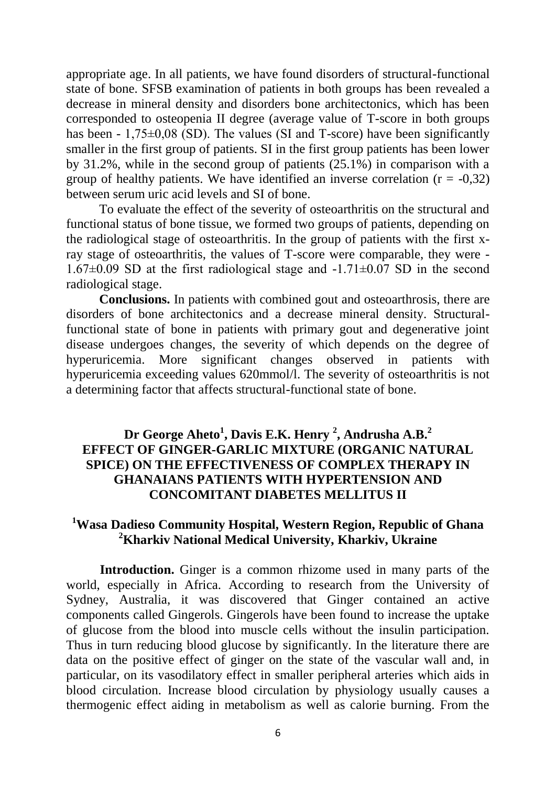appropriate age. In all patients, we have found disorders of structural-functional state of bone. SFSB examination of patients in both groups has been revealed a decrease in mineral density and disorders bone architectonics, which has been corresponded to osteopenia II degree (average value of T-score in both groups has been -  $1,75\pm0.08$  (SD). The values (SI and T-score) have been significantly smaller in the first group of patients. SI in the first group patients has been lower by 31.2%, while in the second group of patients (25.1%) in comparison with a group of healthy patients. We have identified an inverse correlation  $(r = -0.32)$ between serum uric acid levels and SI of bone.

To evaluate the effect of the severity of osteoarthritis on the structural and functional status of bone tissue, we formed two groups of patients, depending on the radiological stage of osteoarthritis. In the group of patients with the first xray stage of osteoarthritis, the values of T-score were comparable, they were -  $1.67\pm0.09$  SD at the first radiological stage and  $-1.71\pm0.07$  SD in the second radiological stage.

**Conclusions.** In patients with combined gout and osteoarthrosis, there are disorders of bone architectonics and a decrease mineral density. Structuralfunctional state of bone in patients with primary gout and degenerative joint disease undergoes changes, the severity of which depends on the degree of hyperuricemia. More significant changes observed in patients with hyperuricemia exceeding values 620mmol/l. The severity of osteoarthritis is not a determining factor that affects structural-functional state of bone.

## **Dr George Aheto<sup>1</sup> , Davis E.K. Henry <sup>2</sup> , Andrusha A.B.<sup>2</sup> EFFECT OF GINGER-GARLIC MIXTURE (ORGANIC NATURAL SPICE) ON THE EFFECTIVENESS OF COMPLEX THERAPY IN GHANAIANS PATIENTS WITH HYPERTENSION AND CONCOMITANT DIABETES MELLITUS II**

## **<sup>1</sup>Wasa Dadieso Community Hospital, Western Region, Republic of Ghana <sup>2</sup>Kharkiv National Medical University, Kharkiv, Ukraine**

**Introduction.** Ginger is a common rhizome used in many parts of the world, especially in Africa. According to research from the University of Sydney, Australia, it was discovered that Ginger contained an active components called Gingerols. Gingerols have been found to increase the uptake of glucose from the blood into muscle cells without the insulin participation. Thus in turn reducing blood glucose by significantly. In the literature there are data on the positive effect of ginger on the state of the vascular wall and, in particular, on its vasodilatory effect in smaller peripheral arteries which aids in blood circulation. Increase blood circulation by physiology usually causes a thermogenic effect aiding in metabolism as well as calorie burning. From the